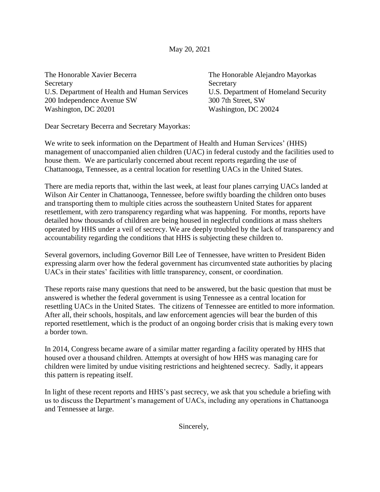May 20, 2021

The Honorable Xavier Becerra Secretary U.S. Department of Health and Human Services 200 Independence Avenue SW Washington, DC 20201

The Honorable Alejandro Mayorkas **Secretary** U.S. Department of Homeland Security 300 7th Street, SW Washington, DC 20024

Dear Secretary Becerra and Secretary Mayorkas:

We write to seek information on the Department of Health and Human Services' (HHS) management of unaccompanied alien children (UAC) in federal custody and the facilities used to house them. We are particularly concerned about recent reports regarding the use of Chattanooga, Tennessee, as a central location for resettling UACs in the United States.

There are media reports that, within the last week, at least four planes carrying UACs landed at Wilson Air Center in Chattanooga, Tennessee, before swiftly boarding the children onto buses and transporting them to multiple cities across the southeastern United States for apparent resettlement, with zero transparency regarding what was happening. For months, reports have detailed how thousands of children are being housed in neglectful conditions at mass shelters operated by HHS under a veil of secrecy. We are deeply troubled by the lack of transparency and accountability regarding the conditions that HHS is subjecting these children to.

Several governors, including Governor Bill Lee of Tennessee, have written to President Biden expressing alarm over how the federal government has circumvented state authorities by placing UACs in their states' facilities with little transparency, consent, or coordination.

These reports raise many questions that need to be answered, but the basic question that must be answered is whether the federal government is using Tennessee as a central location for resettling UACs in the United States. The citizens of Tennessee are entitled to more information. After all, their schools, hospitals, and law enforcement agencies will bear the burden of this reported resettlement, which is the product of an ongoing border crisis that is making every town a border town.

In 2014, Congress became aware of a similar matter regarding a facility operated by HHS that housed over a thousand children. Attempts at oversight of how HHS was managing care for children were limited by undue visiting restrictions and heightened secrecy. Sadly, it appears this pattern is repeating itself.

In light of these recent reports and HHS's past secrecy, we ask that you schedule a briefing with us to discuss the Department's management of UACs, including any operations in Chattanooga and Tennessee at large.

Sincerely,